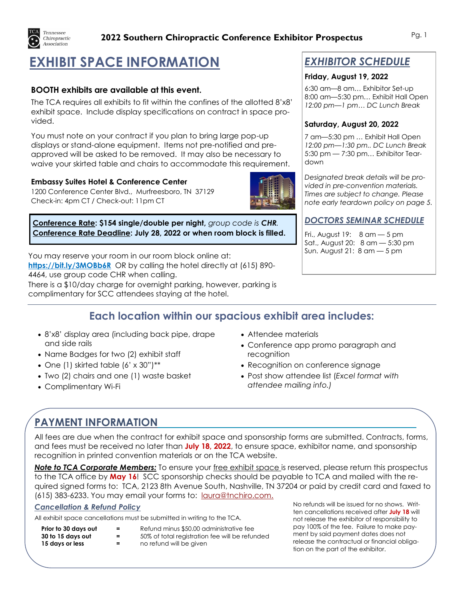

### **2022 Southern Chiropractic Conference Exhibitor Prospectus** Pg. 1

# **EXHIBIT SPACE INFORMATION**

### **BOOTH exhibits are available at this event.**

The TCA requires all exhibits to fit within the confines of the allotted 8'x8' exhibit space. Include display specifications on contract in space provided.

You must note on your contract if you plan to bring large pop-up displays or stand-alone equipment. Items not pre-notified and preapproved will be asked to be removed. It may also be necessary to waive your skirted table and chairs to accommodate this requirement.

#### **Embassy Suites Hotel & Conference Center**

1200 Conference Center Blvd., Murfreesboro, TN 37129 Check-in: 4pm CT / Check-out: 11pm CT



**Conference Rate: \$154 single/double per night,** *group code is CHR.* **Conference Rate Deadline: July 28, 2022 or when room block is filled.**

You may reserve your room in our room block online at: **<https://bit.ly/3MOBb6R>** OR by calling the hotel directly at (615) 890- 4464, use group code CHR when calling.

There is a \$10/day charge for overnight parking, however, parking is complimentary for SCC attendees staying at the hotel.

## *EXHIBITOR SCHEDULE*

#### **Friday, August 19, 2022**

6:30 am—8 am… Exhibitor Set-up 8:00 am—5:30 pm… Exhibit Hall Open *12:00 pm—1 pm… DC Lunch Break* 

#### **Saturday, August 20, 2022**

7 am—5:30 pm … Exhibit Hall Open *12:00 pm—1:30 pm.. DC Lunch Break* 5:30 pm — 7:30 pm… Exhibitor Teardown

*Designated break details will be provided in pre-convention materials. Times are subject to change. Please note early teardown policy on page 5.*

### *DOCTORS SEMINAR SCHEDULE*

Fri., August 19: 8 am — 5 pm Sat., August 20: 8 am — 5:30 pm Sun. August 21: 8 am — 5 pm

## **Each location within our spacious exhibit area includes:**

- 8'x8' display area (including back pipe, drape and side rails
- Name Badges for two (2) exhibit staff
- One (1) skirted table (6' x 30")\*\*
- Two (2) chairs and one (1) waste basket
- Complimentary Wi-Fi
- Attendee materials
- Conference app promo paragraph and recognition
- Recognition on conference signage
- Post show attendee list (*Excel format with attendee mailing info.)*

## **PAYMENT INFORMATION**

All fees are due when the contract for exhibit space and sponsorship forms are submitted. Contracts, forms, and fees must be received no later than **July 18, 2022**, to ensure space, exhibitor name, and sponsorship recognition in printed convention materials or on the TCA website.

*Note to TCA Corporate Members:* To ensure your free exhibit space is reserved, please return this prospectus to the TCA office by **May 16**! SCC sponsorship checks should be payable to TCA and mailed with the required signed forms to: TCA, 2123 8th Avenue South, Nashville, TN 37204 or paid by credit card and faxed to (615) 383-6233. You may email your forms to: [laura@tnchiro.com.](mailto:laura@tnchiro.com) No refunds will be issued for no shows. Writ-

#### *Cancellation & Refund Policy*

All exhibit space cancellations must be submitted in writing to the TCA.

**Prior to 30 days out =** Refund minus \$50.00 administrative fee <br>**30 to 15 days out =** 50% of total registration fee will be refur

**15 days or less = no refund will be given** 

<sup>2</sup> 50% of total registration fee will be refunded

ten cancellations received after **July 18** will not release the exhibitor of responsibility to pay 100% of the fee. Failure to make payment by said payment dates does not release the contractual or financial obligation on the part of the exhibitor.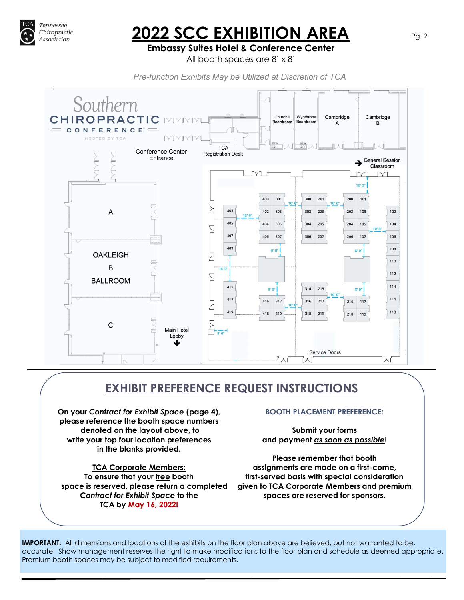

# **2022 SCC EXHIBITION AREA** Pg. 2

### **Embassy Suites Hotel & Conference Center**

All booth spaces are 8' x 8'

*Pre-function Exhibits May be Utilized at Discretion of TCA*



## **EXHIBIT PREFERENCE REQUEST INSTRUCTIONS**

**On your** *Contract for Exhibit Space* **(page 4), please reference the booth space numbers denoted on the layout above, to write your top four location preferences in the blanks provided.**

**TCA Corporate Members: To ensure that your free booth space is reserved, please return a completed**  *Contract for Exhibit Space* **to the TCA by May 16, 2022!**

#### **BOOTH PLACEMENT PREFERENCE:**

**Submit your forms and payment** *as soon as possible***!**

**Please remember that booth assignments are made on a first-come, first-served basis with special consideration given to TCA Corporate Members and premium spaces are reserved for sponsors.**

**IMPORTANT:** All dimensions and locations of the exhibits on the floor plan above are believed, but not warranted to be, accurate. Show management reserves the right to make modifications to the floor plan and schedule as deemed appropriate. Premium booth spaces may be subject to modified requirements.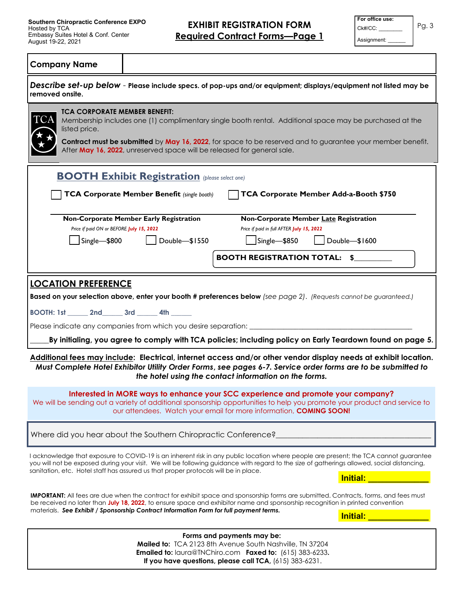**EXHIBIT REGISTRATION FORM Required Contract Forms—Page 1**

| For office use: |  |
|-----------------|--|
| Ck#/CC:         |  |
| Assignment:     |  |

Pg. 3

#### **Company Name**

| removed onsite.                                                                                                                                | Describe set-up below - Please include specs. of pop-ups and/or equipment; displays/equipment not listed may be                                                                                                                                                                                                                                                                                                                                                                                                                                                                                                 |
|------------------------------------------------------------------------------------------------------------------------------------------------|-----------------------------------------------------------------------------------------------------------------------------------------------------------------------------------------------------------------------------------------------------------------------------------------------------------------------------------------------------------------------------------------------------------------------------------------------------------------------------------------------------------------------------------------------------------------------------------------------------------------|
| <b>TCA CORPORATE MEMBER BENEFIT:</b><br><b>TCA</b><br>listed price.<br>After May 16, 2022, unreserved space will be released for general sale. | Membership includes one (1) complimentary single booth rental. Additional space may be purchased at the<br>Contract must be submitted by May 16, 2022, for space to be reserved and to guarantee your member benefit.                                                                                                                                                                                                                                                                                                                                                                                           |
| <b>BOOTH Exhibit Registration</b> (please select one)                                                                                          |                                                                                                                                                                                                                                                                                                                                                                                                                                                                                                                                                                                                                 |
| <b>TCA Corporate Member Benefit (single booth)</b>                                                                                             | TCA Corporate Member Add-a-Booth \$750                                                                                                                                                                                                                                                                                                                                                                                                                                                                                                                                                                          |
| Non-Corporate Member Early Registration<br>Price if paid ON or BEFORE July 15, 2022<br>Single-\$800<br>Double-\$1550                           | Non-Corporate Member Late Registration<br>Price if paid in full AFTER July 15, 2022<br>Single-\$850<br>Double-\$1600                                                                                                                                                                                                                                                                                                                                                                                                                                                                                            |
|                                                                                                                                                | <b>BOOTH REGISTRATION TOTAL: \$</b>                                                                                                                                                                                                                                                                                                                                                                                                                                                                                                                                                                             |
| BOOTH: 1st _______ 2nd _______ 3rd _______ 4th ______<br>Please indicate any companies from which you desire separation: _____                 | Based on your selection above, enter your booth # preferences below (see page 2). (Requests cannot be guaranteed.)<br>By initialing, you agree to comply with TCA policies; including policy on Early Teardown found on page 5.<br>Additional fees may include: Electrical, internet access and/or other vendor display needs at exhibit location.<br>Must Complete Hotel Exhibitor Utility Order Forms, see pages 6-7. Service order forms are to be submitted to<br>the hotel using the contact information on the forms.<br>Interested in MORE ways to enhance your SCC experience and promote your company? |
|                                                                                                                                                | We will be sending out a variety of additional sponsorship opportunities to help you promote your product and service to<br>our attendees. Watch your email for more information, COMING SOON!                                                                                                                                                                                                                                                                                                                                                                                                                  |
| Where did you hear about the Southern Chiropractic Conference?                                                                                 |                                                                                                                                                                                                                                                                                                                                                                                                                                                                                                                                                                                                                 |
| sanitation, etc. Hotel staff has assured us that proper protocols will be in place.                                                            | I acknowledge that exposure to COVID-19 is an inherent risk in any public location where people are present; the TCA cannot guarantee<br>you will not be exposed during your visit. We will be following guidance with regard to the size of gatherings allowed, social distancing,<br><u>Initial: Album and Album and Album and Album and Album and Album and Album and Album and Album and Album and </u>                                                                                                                                                                                                     |
| materials. See Exhibit / Sponsorship Contract Information Form for full payment terms.                                                         | <b>IMPORTANT:</b> All fees are due when the contract for exhibit space and sponsorship forms are submitted. Contracts, forms, and fees must<br>be received no later than July 18, 2022, to ensure space and exhibitor name and sponsorship recognition in printed convention<br><b>Initial:</b>                                                                                                                                                                                                                                                                                                                 |
|                                                                                                                                                | Forms and payments may be:<br>Mailed to: TCA 2123 8th Avenue South Nashville, TN 37204<br>Emailed to: laura@TNChiro.com Faxed to: (615) 383-6233.<br>If you have questions, please call TCA, (615) 383-6231.                                                                                                                                                                                                                                                                                                                                                                                                    |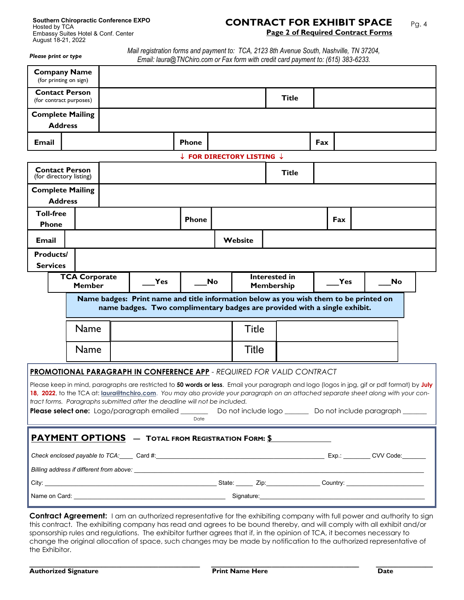#### **CONTRACT FOR EXHIBIT SPACE Page 2 of Required Contract Forms**  Pg. 4

*Please print or type* 

*Mail registration forms and payment to: TCA, 2123 8th Avenue South, Nashville, TN 37204, Email: laura@TNChiro.com or Fax form with credit card payment to: (615) 383-6233.*

|                                  | <b>Company Name</b><br>(for printing on sign)    |                                                                                                                                                                                                                                                                                                                                                                                                                                                                                                                                                                  |                                                 |         |                                                                                                                                                                         |     |     |           |  |
|----------------------------------|--------------------------------------------------|------------------------------------------------------------------------------------------------------------------------------------------------------------------------------------------------------------------------------------------------------------------------------------------------------------------------------------------------------------------------------------------------------------------------------------------------------------------------------------------------------------------------------------------------------------------|-------------------------------------------------|---------|-------------------------------------------------------------------------------------------------------------------------------------------------------------------------|-----|-----|-----------|--|
|                                  | <b>Contact Person</b><br>(for contract purposes) |                                                                                                                                                                                                                                                                                                                                                                                                                                                                                                                                                                  |                                                 |         | <b>Title</b>                                                                                                                                                            |     |     |           |  |
|                                  | <b>Complete Mailing</b>                          |                                                                                                                                                                                                                                                                                                                                                                                                                                                                                                                                                                  |                                                 |         |                                                                                                                                                                         |     |     |           |  |
|                                  | <b>Address</b>                                   |                                                                                                                                                                                                                                                                                                                                                                                                                                                                                                                                                                  |                                                 |         |                                                                                                                                                                         |     |     |           |  |
| <b>Email</b>                     |                                                  |                                                                                                                                                                                                                                                                                                                                                                                                                                                                                                                                                                  | <b>Phone</b>                                    |         |                                                                                                                                                                         | Fax |     |           |  |
|                                  |                                                  |                                                                                                                                                                                                                                                                                                                                                                                                                                                                                                                                                                  | $\downarrow$ FOR DIRECTORY LISTING $\downarrow$ |         |                                                                                                                                                                         |     |     |           |  |
|                                  | <b>Contact Person</b><br>(for directory listing) |                                                                                                                                                                                                                                                                                                                                                                                                                                                                                                                                                                  |                                                 |         | <b>Title</b>                                                                                                                                                            |     |     |           |  |
|                                  | <b>Complete Mailing</b>                          |                                                                                                                                                                                                                                                                                                                                                                                                                                                                                                                                                                  |                                                 |         |                                                                                                                                                                         |     |     |           |  |
|                                  | <b>Address</b>                                   |                                                                                                                                                                                                                                                                                                                                                                                                                                                                                                                                                                  |                                                 |         |                                                                                                                                                                         |     |     |           |  |
| <b>Toll-free</b><br><b>Phone</b> |                                                  |                                                                                                                                                                                                                                                                                                                                                                                                                                                                                                                                                                  | <b>Phone</b>                                    |         |                                                                                                                                                                         |     | Fax |           |  |
| <b>Email</b>                     |                                                  |                                                                                                                                                                                                                                                                                                                                                                                                                                                                                                                                                                  |                                                 | Website |                                                                                                                                                                         |     |     |           |  |
| <b>Products/</b>                 |                                                  |                                                                                                                                                                                                                                                                                                                                                                                                                                                                                                                                                                  |                                                 |         |                                                                                                                                                                         |     |     |           |  |
| <b>Services</b>                  |                                                  |                                                                                                                                                                                                                                                                                                                                                                                                                                                                                                                                                                  |                                                 |         |                                                                                                                                                                         |     |     |           |  |
|                                  | <b>TCA Corporate</b><br><b>Member</b>            | Yes                                                                                                                                                                                                                                                                                                                                                                                                                                                                                                                                                              | No                                              |         | Interested in<br><b>Membership</b>                                                                                                                                      |     | Yes | <b>No</b> |  |
|                                  |                                                  | Name badges: Print name and title information below as you wish them to be printed on<br>name badges. Two complimentary badges are provided with a single exhibit.                                                                                                                                                                                                                                                                                                                                                                                               |                                                 |         |                                                                                                                                                                         |     |     |           |  |
|                                  | <b>Name</b>                                      |                                                                                                                                                                                                                                                                                                                                                                                                                                                                                                                                                                  |                                                 | Title   |                                                                                                                                                                         |     |     |           |  |
|                                  | Name                                             |                                                                                                                                                                                                                                                                                                                                                                                                                                                                                                                                                                  |                                                 | Title   |                                                                                                                                                                         |     |     |           |  |
|                                  |                                                  | <b>PROMOTIONAL PARAGRAPH IN CONFERENCE APP - REQUIRED FOR VALID CONTRACT</b><br>Please keep in mind, paragraphs are restricted to 50 words or less. Email your paragraph and logo (logos in jpg, gif or pdf format) by July<br>18, 2022, to the TCA at: laura@tnchiro.com. You may also provide your paragraph on an attached separate sheet along with your con-<br>tract forms. Paragraphs submitted after the deadline will not be included.<br>Please select one: Logo/paragraph emailed ________ Do not include logo ______ Do not include paragraph ______ | Date                                            |         |                                                                                                                                                                         |     |     |           |  |
|                                  |                                                  | <b>PAYMENT OPTIONS</b> - TOTAL FROM REGISTRATION FORM: \$                                                                                                                                                                                                                                                                                                                                                                                                                                                                                                        |                                                 |         |                                                                                                                                                                         |     |     |           |  |
|                                  |                                                  | Check enclosed payable to TCA: Card #: Card #: Card #: COM Code: CARL Exp.: CVV Code: CARL Exp.: CVV Code:                                                                                                                                                                                                                                                                                                                                                                                                                                                       |                                                 |         |                                                                                                                                                                         |     |     |           |  |
|                                  |                                                  |                                                                                                                                                                                                                                                                                                                                                                                                                                                                                                                                                                  |                                                 |         |                                                                                                                                                                         |     |     |           |  |
|                                  |                                                  |                                                                                                                                                                                                                                                                                                                                                                                                                                                                                                                                                                  |                                                 |         |                                                                                                                                                                         |     |     |           |  |
|                                  |                                                  |                                                                                                                                                                                                                                                                                                                                                                                                                                                                                                                                                                  |                                                 |         |                                                                                                                                                                         |     |     |           |  |
|                                  |                                                  |                                                                                                                                                                                                                                                                                                                                                                                                                                                                                                                                                                  |                                                 |         | $\mathbf{A}$ and $\mathbf{A}$ and an analyzing $\mathbf{A}$ is the set of $\mathbf{A}$ is the set of $\mathbf{A}$ in the set of $\mathbf{A}$ is the set of $\mathbf{A}$ |     |     |           |  |

**Contract Agreement:** I am an authorized representative for the exhibiting company with full power and authority to sign this contract. The exhibiting company has read and agrees to be bound thereby, and will comply with all exhibit and/or sponsorship rules and regulations. The exhibitor further agrees that if, in the opinion of TCA, it becomes necessary to change the original allocation of space, such changes may be made by notification to the authorized representative of the Exhibitor.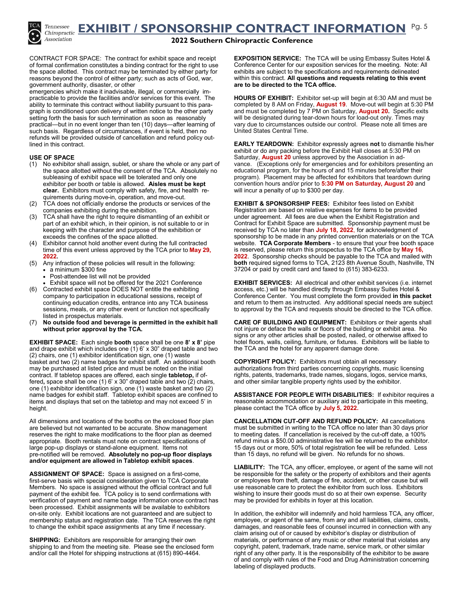**EXHIBIT / SPONSORSHIP CONTRACT INFORMATION**  Pg. 5



**2022 Southern Chiropractic Conference**

CONTRACT FOR SPACE: The contract for exhibit space and receipt of formal confirmation constitutes a binding contract for the right to use the space allotted. This contract may be terminated by either party for reasons beyond the control of either party; such as acts of God, war, government authority, disaster, or other

emergencies which make it inadvisable, illegal, or commercially impracticable to provide the facilities and/or services for this event. The ability to terminate this contract without liability pursuant to this paragraph is conditioned upon delivery of written notice to the other party setting forth the basis for such termination as soon as reasonably practical—but in no event longer than ten (10) days—after learning of such basis. Regardless of circumstances, if event is held, then no refunds will be provided outside of cancellation and refund policy outlined in this contract.

#### **USE OF SPACE**

- (1) No exhibitor shall assign, sublet, or share the whole or any part of the space allotted without the consent of the TCA. Absolutely no subleasing of exhibit space will be tolerated and only one exhibitor per booth or table is allowed. **Aisles must be kept clear.** Exhibitors must comply with safety, fire, and health requirements during move-in, operation, and move-out.
- TCA does not officially endorse the products or services of the companies exhibiting during the exhibition.
- (3) TCA shall have the right to require dismantling of an exhibit or part of an exhibit which, in their opinion, is not suitable to or in keeping with the character and purpose of the exhibition or exceeds the confines of the space allotted.
- (4) Exhibitor cannot hold another event during the full contracted time of this event unless approved by the TCA prior to **May 29, 2022.**
- (5) Any infraction of these policies will result in the following:  $\cdot$  a minimum \$300 fine
	- Post-attendee list will not be provided
- Exhibit space will not be offered for the 2021 Conference (6) Contracted exhibit space DOES NOT entitle the exhibiting company to participation in educational sessions, receipt of continuing education credits, entrance into any TCA business sessions, meals, or any other event or function not specifically listed in prospectus materials.
- (7) **No outside food and beverage is permitted in the exhibit hall without prior approval by the TCA.**

**EXHIBIT SPACE:** Each single **booth** space shall be one **8' x 8'** pipe and drape exhibit which includes one  $(1)$  6' x 30" draped table and two (2) chairs, one (1) exhibitor identification sign, one (1) waste basket and two (2) name badges for exhibit staff. An additional booth may be purchased at listed price and must be noted on the initial contract. If tabletop spaces are offered, each single **tabletop,** if offered**,** space shall be one (1) 6' x 30" draped table and two (2) chairs, one (1) exhibitor identification sign, one (1) waste basket and two (2) name badges for exhibit staff. Tabletop exhibit spaces are confined to items and displays that set on the tabletop and may not exceed 5' in height.

All dimensions and locations of the booths on the enclosed floor plan are believed but not warranted to be accurate. Show management reserves the right to make modifications to the floor plan as deemed appropriate. Booth rentals must note on contract specifications of large pop-up displays or stand-alone equipment. Items not pre-notified will be removed. **Absolutely no pop-up floor displays and/or equipment are allowed in Tabletop exhibit spaces**.

**ASSIGNMENT OF SPACE:** Space is assigned on a first-come, first-serve basis with special consideration given to TCA Corporate Members. No space is assigned without the official contract and full payment of the exhibit fee. TCA policy is to send confirmations with verification of payment and name badge information once contract has been processed. Exhibit assignments will be available to exhibitors on-site only. Exhibit locations are not guaranteed and are subject to membership status and registration date. The TCA reserves the right to change the exhibit space assignments at any time if necessary.

**SHIPPING:** Exhibitors are responsible for arranging their own shipping to and from the meeting site. Please see the enclosed form and/or call the Hotel for shipping instructions at (615) 890-4464.

**EXPOSITION SERVICE:** The TCA will be using Embassy Suites Hotel & Conference Center for our exposition services for the meeting. Note: All exhibits are subject to the specifications and requirements delineated within this contract. **All questions and requests relating to this event are to be directed to the TCA office.** 

**HOURS OF EXHIBIT:** Exhibitor set-up will begin at 6:30 AM and must be completed by 8 AM on Friday, **August 19**. Move-out will begin at 5:30 PM and must be completed by 7 PM on Saturday, **August 20.** Specific exits will be designated during tear-down hours for load-out only. Times may vary due to circumstances outside our control. Please note all times are United States Central Time.

**EARLY TEARDOWN:** Exhibitor expressly agrees **not** to dismantle his/her exhibit or do any packing before the Exhibit Hall closes at 5:30 PM on Saturday, **August 20** unless approved by the Association in advance. (Exceptions only for emergencies and for exhibitors presenting an educational program, for the hours of and 15 minutes before/after their program). Placement may be affected for exhibitors that teardown during convention hours and/or prior to **5:30 PM on Saturday, August 20** and will incur a penalty of up to \$300 per day.

**EXHIBIT & SPONSORSHIP FEES:** Exhibitor fees listed on Exhibit Registration are based on relative expenses for items to be provided under agreement. All fees are due when the Exhibit Registration and Contract for Exhibit Space are submitted. Sponsorship payment must be received by TCA no later than **July 18, 2022**, for acknowledgment of sponsorship to be made in any printed convention materials or on the TCA website. **TCA Corporate Members** - to ensure that your free booth space is reserved, please return this prospectus to the TCA office by **May 16, 2022**. Sponsorship checks should be payable to the TCA and mailed with **both** required signed forms to TCA, 2123 8th Avenue South, Nashville, TN 37204 or paid by credit card and faxed to (615) 383-6233.

**EXHIBIT SERVICES:** All electrical and other exhibit services (i.e. internet access, etc.) will be handled directly through Embassy Suites Hotel & Conference Center. You must complete the form provided **in this packet**  and return to them as instructed. Any additional special needs are subject to approval by the TCA and requests should be directed to the TCA office.

**CARE OF BUILDING AND EQUIPMENT:** Exhibitors or their agents shall not injure or deface the walls or floors of the building or exhibit area. No signs or any other articles shall be posted, nailed, or otherwise affixed to hotel floors, walls, ceiling, furniture, or fixtures. Exhibitors will be liable to the TCA and the hotel for any apparent damage done.

**COPYRIGHT POLICY:** Exhibitors must obtain all necessary authorizations from third parties concerning copyrights, music licensing rights, patents, trademarks, trade names, slogans, logos, service marks, and other similar tangible property rights used by the exhibitor.

**ASSISTANCE FOR PEOPLE WITH DISABILITIES:** If exhibitor requires a reasonable accommodation or auxiliary aid to participate in this meeting, please contact the TCA office by **July 5, 2022.**

**CANCELLATION CUT-OFF AND REFUND POLICY:** All cancellations must be submitted in writing to the TCA office no later than 30 days prior to meeting dates. If cancellation is received by the cut-off date, a 100% refund minus a \$50.00 administrative fee will be returned to the exhibitor. 15 days out or more, 50% of total registration fee will be refunded. Less than 15 days, no refund will be given. No refunds for no shows.

**LIABILITY:** The TCA, any officer, employee, or agent of the same will not be responsible for the safety or the property of exhibitors and their agents or employees from theft, damage of fire, accident, or other cause but will use reasonable care to protect the exhibitor from such loss. Exhibitors wishing to insure their goods must do so at their own expense. Security may be provided for exhibits in foyer at this location.

In addition, the exhibitor will indemnify and hold harmless TCA, any officer, employee, or agent of the same, from any and all liabilities, claims, costs, damages, and reasonable fees of counsel incurred in connection with any claim arising out of or caused by exhibitor's display or distribution of materials, or performance of any music or other material that violates any copyright, patent, trademark, trade name, service mark, or other similar right of any other party. It is the responsibility of the exhibitor to be aware of and comply with rules of the Food and Drug Administration concerning labeling of displayed products.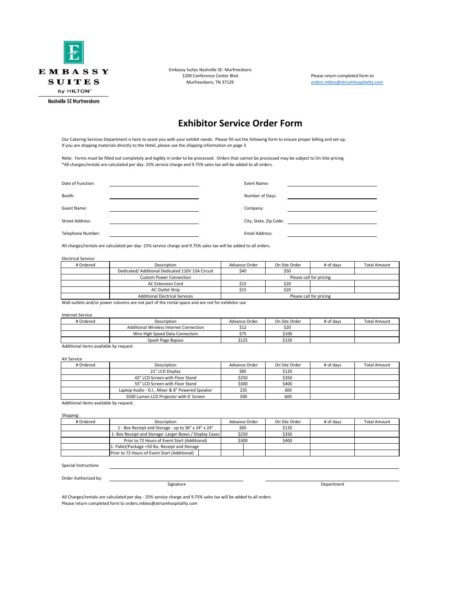

Embassy Suites Nashville SE- Murfreesboro 1200 Conference Center Blvd<br>1200 Conference Center Blvd Please return completed form to<br>1211 Please return or the System of Press, and the System of Please return to System Muslim Please return of M

[orders.mbtes@atriumhospitality.com](mailto:orders.mbtes@atriumhospitality.com)

### **Exhibitor Service Order Form**

Our Catering Services Department is here to assist you with your exhibit needs. Please fill out the following form to ensure proper billing and set-up. If you are shipping materials directly to the Hotel, please use the shipping information on page 3

Note: Forms must be filled out completely and legibly in order to be processed. Orders that cannot be processed may be subject to On-Site pricing \*All charges/rentals are calculated per day- 25% service charge and 9.75% sales tax will be added to all orders.

| Date of Function: | Event Name:            |
|-------------------|------------------------|
| Booth:            | Number of Days:        |
| Guest Name:       | Company:               |
| Street Address:   | City, State, Zip Code: |
| Telephone Number: | Email Address:         |

All charges/rentals are calculated per day- 25% service charge and 9.75% sales tax will be added to all orders.

#### Electrical Service:

| # Ordered | Description                                      | Advance Order           | On Site Order | # of days               | <b>Total Amount</b> |  |
|-----------|--------------------------------------------------|-------------------------|---------------|-------------------------|---------------------|--|
|           | Dedicated/ Additional Dedicated 110V 15A Circuit | \$40                    | \$50          |                         |                     |  |
|           | <b>Custom Power Connection</b>                   |                         |               | Please call for pricing |                     |  |
|           | <b>AC Extension Cord</b>                         | \$15                    | \$20          |                         |                     |  |
|           | AC Outlet Strip                                  | \$15                    | \$20          |                         |                     |  |
|           | <b>Additional Electrical Services</b>            | Please call for pricing |               |                         |                     |  |

Wall outlets and/or power columns are not part of the rental space and are not for exhibitor use

#### Internet Service

| # Ordered | Description                             | Advance Order | On Site Order | # of days | <b>Total Amount</b> |
|-----------|-----------------------------------------|---------------|---------------|-----------|---------------------|
|           | Additional Wireless Internet Connection | \$12          | \$20          |           |                     |
|           | Wire High Speed Data Connectoin         | \$75          | \$100         |           |                     |
|           | Spash Page Bypass                       | \$125         | \$150         |           |                     |

Additional items available by request

#### AV Service

| # Ordered | Description                                     | Advance Order | On Site Order | # of days | <b>Total Amount</b> |
|-----------|-------------------------------------------------|---------------|---------------|-----------|---------------------|
|           | 21" LCD Display                                 | \$85          | \$120         |           |                     |
|           | 42" LCD Screen with Floor Stand                 | \$250         | \$350         |           |                     |
|           | 55" LCD Screen with Floor Stand                 | \$300         | \$400         |           |                     |
|           | Laptop Audio - D.I., Mixer & 8" Powered Speaker | 235           | 300           |           |                     |
|           | 5500 Lumen LCD Projector with 6' Screen         | 500           | 600           |           |                     |
|           |                                                 |               |               |           |                     |

Additional items available by request.

#### Shipping:

| # Ordered | Description                                             | Advance Order | On Site Order | # of days | <b>Total Amount</b> |
|-----------|---------------------------------------------------------|---------------|---------------|-----------|---------------------|
|           | 1 - Box Receipt and Storage - up to 36" x 24" x 24"     | \$85          | \$120         |           |                     |
|           | 1- Box Receipt and Storage-Larger Boxes / Display Cases | \$250         | \$350         |           |                     |
|           | Prior to 72 Hours of Event Start (Additional)           | \$300         | \$400         |           |                     |
|           | 1- Pallet/Package +50 lbs. Receipt and Storage          |               |               |           |                     |
|           | Prior to 72 Hours of Event Start (Additional)           |               |               |           |                     |

#### Special Instructions

Order Authorized by:

Signature Department

All Charges/rentals are calculated per day - 25% service charge and 9.75% sales tax will be added to all orders Please return completed form to orders.mbtes@atriumhospitality.com